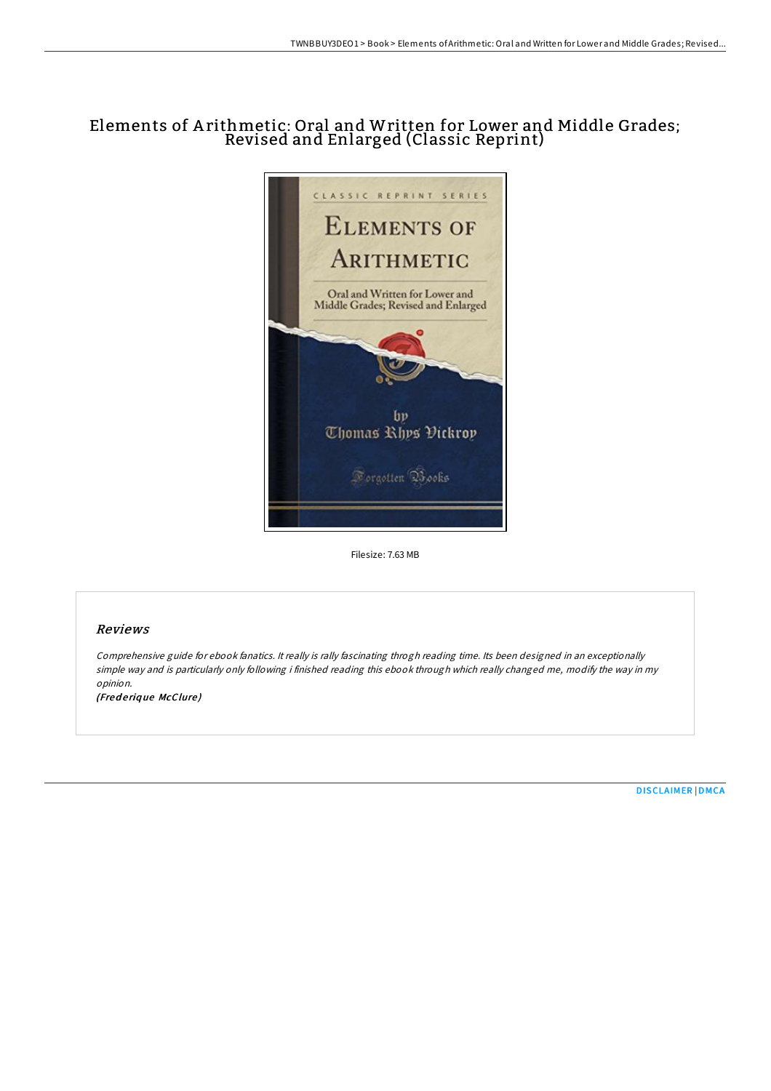## Elements of A rithmetic: Oral and Written for Lower and Middle Grades; Revised and Enlarged (Classic Reprint)



Filesize: 7.63 MB

## Reviews

Comprehensive guide for ebook fanatics. It really is rally fascinating throgh reading time. Its been designed in an exceptionally simple way and is particularly only following i finished reading this ebook through which really changed me, modify the way in my opinion. (Fred erique McClure)

[DISCLAIMER](http://almighty24.tech/disclaimer.html) | [DMCA](http://almighty24.tech/dmca.html)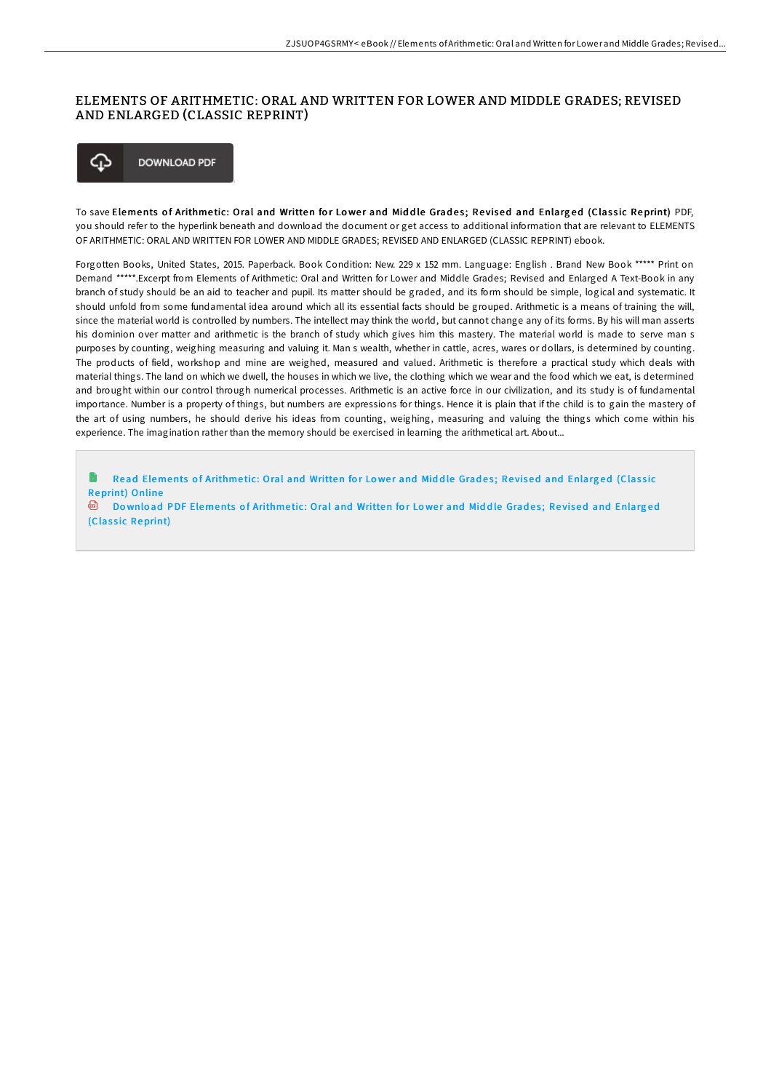## ELEMENTS OF ARITHMETIC: ORAL AND WRITTEN FOR LOWER AND MIDDLE GRADES; REVISED AND ENLARGED (CLASSIC REPRINT)



To save Elements of Arithmetic: Oral and Written for Lower and Middle Grades; Revised and Enlarged (Classic Reprint) PDF, you should refer to the hyperlink beneath and download the document or get access to additional information that are relevant to ELEMENTS OF ARITHMETIC: ORAL AND WRITTEN FOR LOWER AND MIDDLE GRADES; REVISED AND ENLARGED (CLASSIC REPRINT) ebook.

Forgotten Books, United States, 2015. Paperback. Book Condition: New. 229 x 152 mm. Language: English . Brand New Book \*\*\*\*\* Print on Demand \*\*\*\*\*.Excerpt from Elements of Arithmetic: Oral and Written for Lower and Middle Grades; Revised and Enlarged A Text-Book in any branch of study should be an aid to teacher and pupil. Its matter should be graded, and its form should be simple, logical and systematic. It should unfold from some fundamental idea around which all its essential facts should be grouped. Arithmetic is a means of training the will, since the material world is controlled by numbers. The intellect may think the world, but cannot change any of its forms. By his will man asserts his dominion over matter and arithmetic is the branch of study which gives him this mastery. The material world is made to serve man s purposes by counting, weighing measuring and valuing it. Man s wealth, whether in cattle, acres, wares or dollars, is determined by counting. The products of field, workshop and mine are weighed, measured and valued. Arithmetic is therefore a practical study which deals with material things. The land on which we dwell, the houses in which we live, the clothing which we wear and the food which we eat, is determined and brought within our control through numerical processes. Arithmetic is an active force in our civilization, and its study is of fundamental importance. Number is a property of things, but numbers are expressions for things. Hence it is plain that if the child is to gain the mastery of the art of using numbers, he should derive his ideas from counting, weighing, measuring and valuing the things which come within his experience. The imagination rather than the memory should be exercised in learning the arithmetical art. About...

Read [Elements](http://almighty24.tech/elements-of-arithmetic-oral-and-written-for-lowe.html) of Arithmetic: Oral and Written for Lower and Middle Grades; Revised and Enlarged (Classic Reprint) Online **Download PDF [Elements](http://almighty24.tech/elements-of-arithmetic-oral-and-written-for-lowe.html) of Arithmetic: Oral and Written for Lower and Middle Grades: Revised and Enlarged** 

(Classic Reprint)